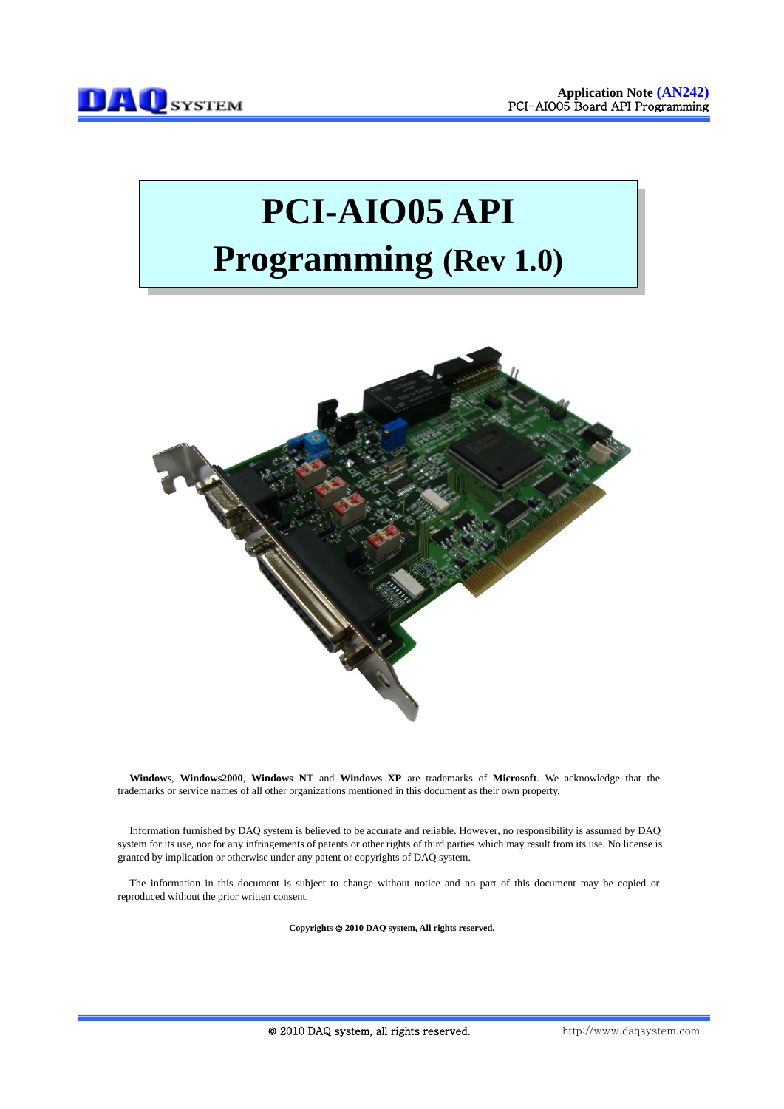# **PCI-AIO05 API Programming (Rev 1.0)**



**Windows**, **Windows2000**, **Windows NT** and **Windows XP** are trademarks of **Microsoft**. We acknowledge that the trademarks or service names of all other organizations mentioned in this document as their own property.

Information furnished by DAQ system is believed to be accurate and reliable. However, no responsibility is assumed by DAQ system for its use, nor for any infringements of patents or other rights of third parties which may result from its use. No license is granted by implication or otherwise under any patent or copyrights of DAQ system.

The information in this document is subject to change without notice and no part of this document may be copied or reproduced without the prior written consent.

Copyrights  $@$  2010 DAQ system, All rights reserved.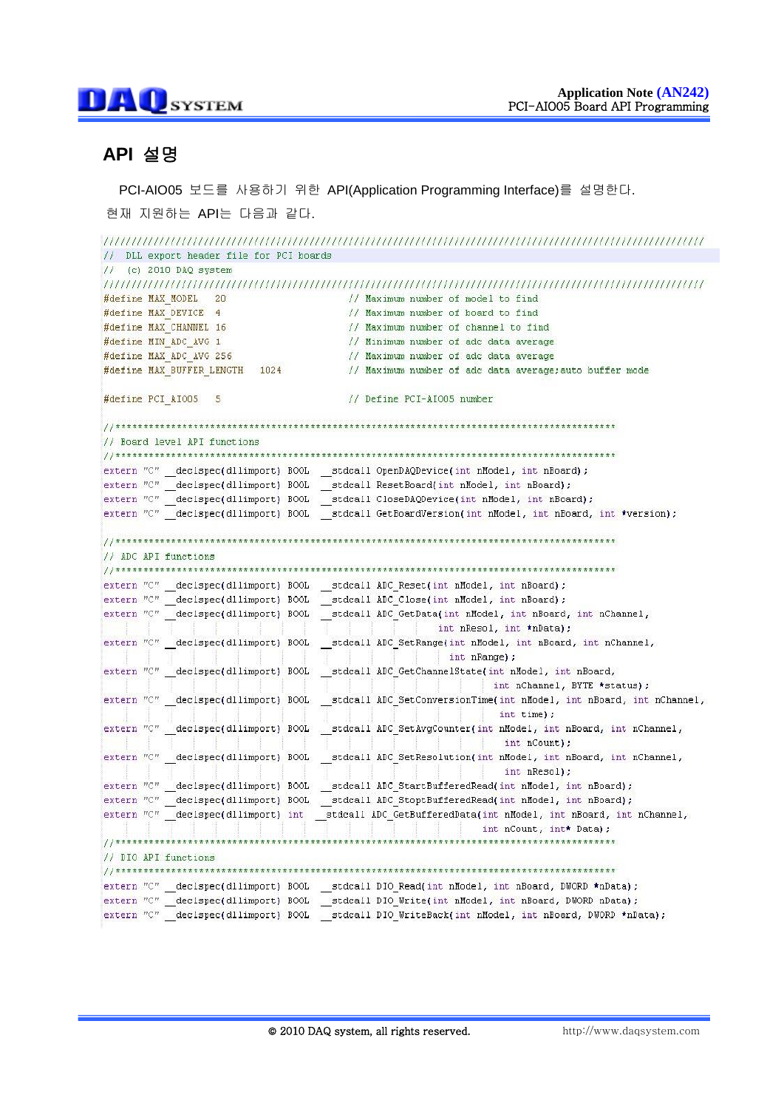## **API** 설명

PCI-AIO05 보드를 사용하기 위한 API(Application Programming Interface)를 설명한다.

현재 지원하는 API는 다음과 같다.

```
// DLL export header file for PCI boards
1/ (c) 2010 DAQ system
#define MAX MODEL 20
                             // Maximum number of model to find
                             // Maximum number of board to find
#define MAX DEVICE 4
#define MAX_CHANNEL 16
                            // Maximum number of channel to find
                            // Minimum number of adc data average
#define MIN ADC AVG 1
                            // Maximum number of adc data average
#define MAX ADC AVG 256
#define MAX BUFFER LENGTH 1024
                             // Maximum number of adc data average: auto buffer mode
#define PCI AIO05 5
                             // Define PCI-AIO05 number
// Board level API functions
extern "C" declspec(dllimport) BOOL stdcall OpenDAQDevice(int nModel, int nBoard);
extern "C" declspec(dllimport) BOOL stdcall ResetBoard(int nModel, int nBoard);
extern "C" _declspec(dllimport) BOOL _stdcall CloseDAQDevice(int nModel, int nBoard);
extern "C" declspec(dllimport) BOOL stdcall GetBoardVersion(int nModel, int nBoard, int *version);
, annotation and an annotation and an annotation and an annotation and an annotation and an annotation and an annotation and \ell/\ell// ADC API functions
\tt\t\t\texttt{extern "C" _declspec(dllimport)} B00L \_stdcall ADC\_Reset(int nModel, int nBoard);int nResol, int *nData);
int nRange);
extern "C" declspec(dllimport) BOOL stdcall ADC GetChannelState(int nModel, int nBoard,
                                              int nChannel, BYTE *status);
extern "C" declspec(dllimport) BOOL stdcall ADC SetConversionTime(int nModel, int nBoard, int nChannel,
                                               int time);
extern "C" declspec(dllimport) BOOL stdcall ADC SetAvgCounter(int nModel, int nBoard, int nChannel,
                                                int nCount);
extern "C" declspec(dllimport) BOOL stdcall ADC SetResolution(int nModel, int nBoard, int nChannel,
                                                int nResol);
\tt\t\t\texttt{extern "C" _declspec(dllimport)} B00L \texttt{ _stdcall ADC\_StartBufferedRead(int nModel, int nBoard)};extern "C" \boxed{\phantom{a} declspec(dllimport) BOOL \boxed{\phantom{a}}stdcall ADC StoptBufferedRead(int nModel, int nBoard);
extern "C" declspec(dllimport) int __stdcall ADC_GetBufferedData(int nModel, int nBoard, int nChannel,
                                          int nCount, int* Data);
// DIO API functions
```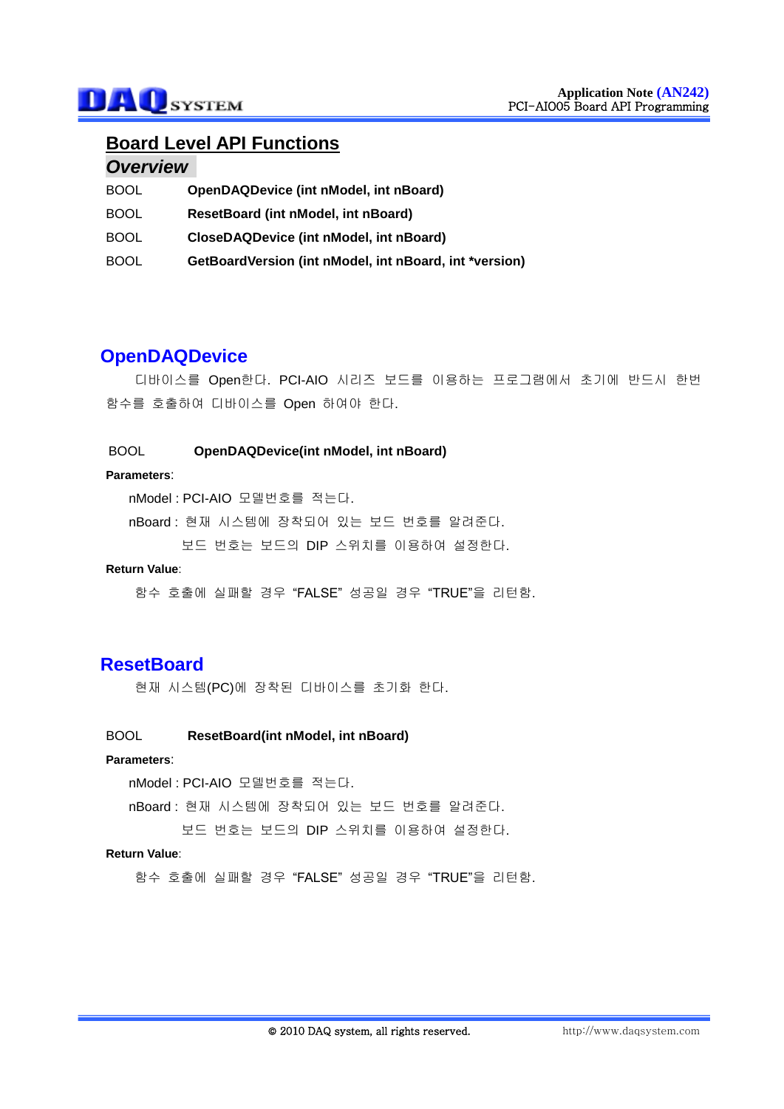## **Board Level API Functions**

## *Overview*

| <b>BOOL</b> | OpenDAQDevice (int nModel, int nBoard)                 |
|-------------|--------------------------------------------------------|
| <b>BOOL</b> | ResetBoard (int nModel, int nBoard)                    |
| <b>BOOL</b> | <b>CloseDAQDevice (int nModel, int nBoard)</b>         |
| <b>BOOL</b> | GetBoardVersion (int nModel, int nBoard, int *version) |

## **OpenDAQDevice**

디바이스를 Open한다. PCI-AIO 시리즈 보드를 이용하는 프로그램에서 초기에 반드시 한번 함수를 호출하여 디바이스를 Open 하여야 한다.

## BOOL **OpenDAQDevice(int nModel, int nBoard)**

#### **Parameters**:

nModel : PCI-AIO 모델번호를 적는다.

nBoard : 현재 시스템에 장착되어 있는 보드 번호를 알려준다.

보드 번호는 보드의 DIP 스위치를 이용하여 설정한다.

#### **Return Value**:

함수 호출에 실패할 경우 "FALSE" 성공일 경우 "TRUE"을 리턴함.

## **ResetBoard**

현재 시스템(PC)에 장착된 디바이스를 초기화 한다.

### BOOL **ResetBoard(int nModel, int nBoard)**

## **Parameters**:

nModel : PCI-AIO 모델번호를 적는다.

nBoard : 현재 시스템에 장착되어 있는 보드 번호를 알려준다.

보드 번호는 보드의 DIP 스위치를 이용하여 설정한다.

#### **Return Value**: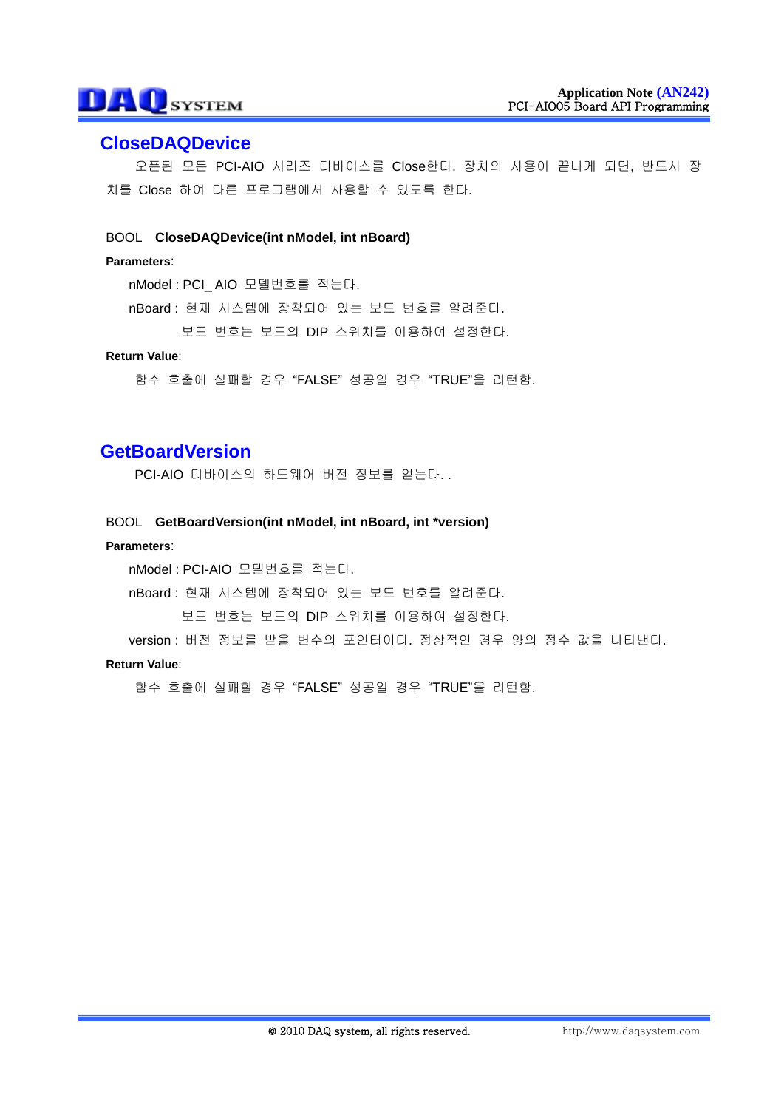## **CloseDAQDevice**

오픈된 모든 PCI-AIO 시리즈 디바이스를 Close한다. 장치의 사용이 끝나게 되면, 반드시 장 치를 Close 하여 다른 프로그램에서 사용할 수 있도록 한다.

### BOOL **CloseDAQDevice(int nModel, int nBoard)**

#### **Parameters**:

nModel : PCI\_ AIO 모델번호를 적는다.

- nBoard : 현재 시스템에 장착되어 있는 보드 번호를 알려준다.
	- 보드 번호는 보드의 DIP 스위치를 이용하여 설정한다.

### **Return Value**:

함수 호출에 실패할 경우 "FALSE" 성공일 경우 "TRUE"을 리턴함.

## **GetBoardVersion**

PCI-AIO 디바이스의 하드웨어 버전 정보를 얻는다. .

#### BOOL **GetBoardVersion(int nModel, int nBoard, int \*version)**

#### **Parameters**:

nModel : PCI-AIO 모델번호를 적는다.

nBoard : 현재 시스템에 장착되어 있는 보드 번호를 알려준다.

보드 번호는 보드의 DIP 스위치를 이용하여 설정한다.

version : 버전 정보를 받을 변수의 포인터이다. 정상적인 경우 양의 정수 값을 나타낸다.

#### **Return Value**: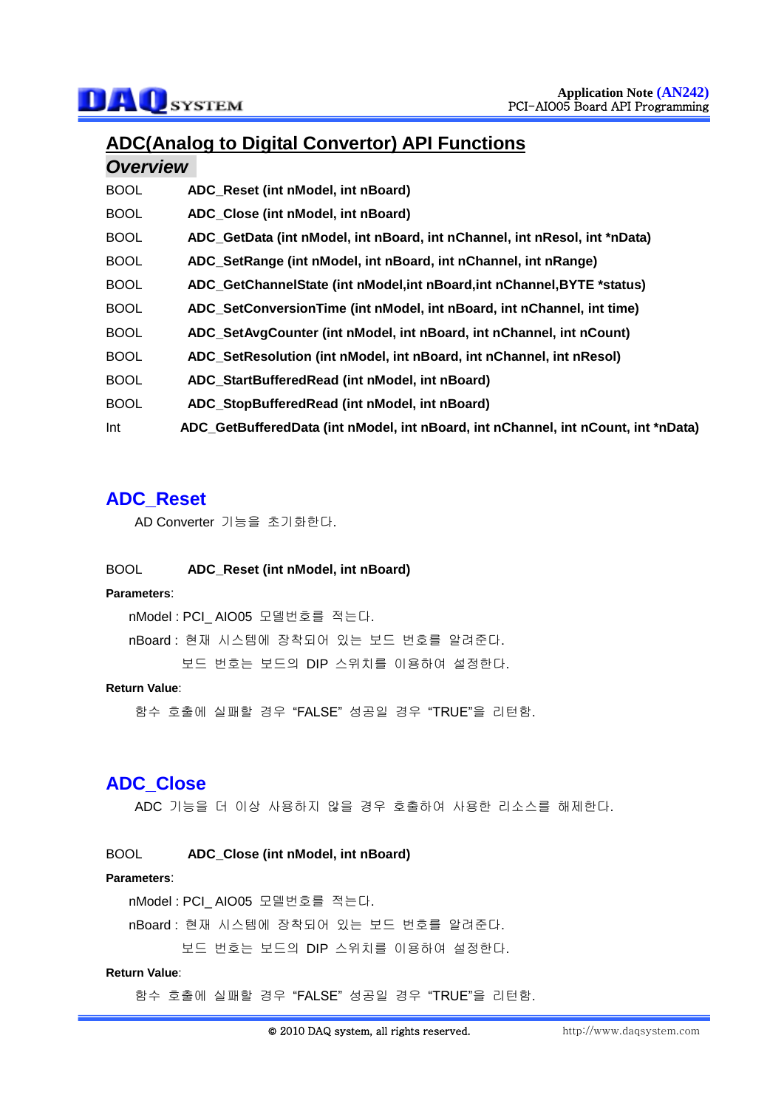## **ADC(Analog to Digital Convertor) API Functions**

## *Overview*

| ADC_Reset (int nModel, int nBoard)                                                 |
|------------------------------------------------------------------------------------|
| ADC Close (int nModel, int nBoard)                                                 |
| ADC_GetData (int nModel, int nBoard, int nChannel, int nResol, int *nData)         |
| ADC_SetRange (int nModel, int nBoard, int nChannel, int nRange)                    |
| ADC GetChannelState (int nModel, int nBoard, int nChannel, BYTE *status)           |
| ADC SetConversionTime (int nModel, int nBoard, int nChannel, int time)             |
| ADC SetAvgCounter (int nModel, int nBoard, int nChannel, int nCount)               |
| ADC_SetResolution (int nModel, int nBoard, int nChannel, int nResol)               |
| ADC_StartBufferedRead (int nModel, int nBoard)                                     |
| ADC_StopBufferedRead (int nModel, int nBoard)                                      |
| ADC_GetBufferedData (int nModel, int nBoard, int nChannel, int nCount, int *nData) |
|                                                                                    |

## **ADC\_Reset**

AD Converter 기능을 초기화한다.

#### BOOL **ADC\_Reset (int nModel, int nBoard)**

#### **Parameters**:

nModel : PCI\_ AIO05 모델번호를 적는다.

nBoard : 현재 시스템에 장착되어 있는 보드 번호를 알려준다.

보드 번호는 보드의 DIP 스위치를 이용하여 설정한다.

#### **Return Value**:

함수 호출에 실패할 경우 "FALSE" 성공일 경우 "TRUE"을 리턴함.

## **ADC\_Close**

ADC 기능을 더 이상 사용하지 않을 경우 호출하여 사용한 리소스를 해제한다.

#### BOOL **ADC\_Close (int nModel, int nBoard)**

#### **Parameters**:

nModel : PCI\_ AIO05 모델번호를 적는다.

nBoard : 현재 시스템에 장착되어 있는 보드 번호를 알려준다.

보드 번호는 보드의 DIP 스위치를 이용하여 설정한다.

#### **Return Value**: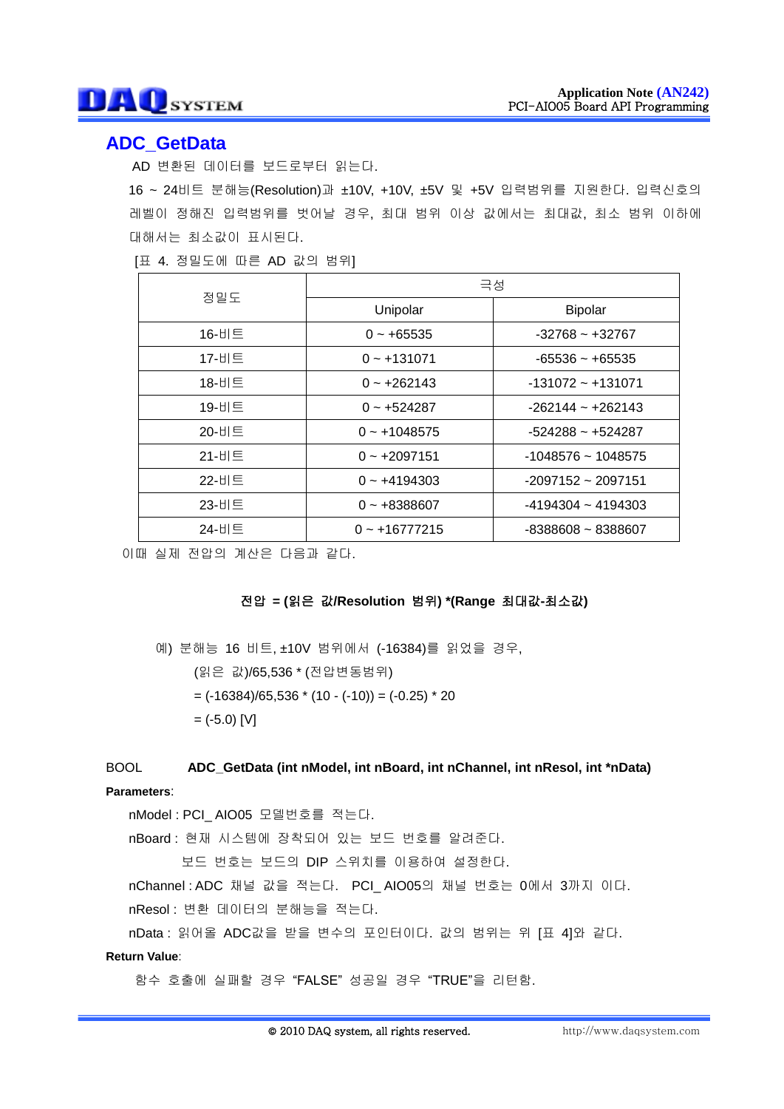## **ADC\_GetData**

AD 변환된 데이터를 보드로부터 읽는다.

16 ~ 24비트 분해능(Resolution)과 ±10V, +10V, ±5V 및 +5V 입력범위를 지원한다. 입력신호의 레벨이 정해진 입력범위를 벗어날 경우, 최대 범위 이상 값에서는 최대값, 최소 범위 이하에 대해서는 최소값이 표시된다.

[표 4. 정밀도에 따른 AD 값의 범위]

| 정밀도           | 극성              |                      |  |
|---------------|-----------------|----------------------|--|
|               | Unipolar        | <b>Bipolar</b>       |  |
| 16-비트         | $0 - +65535$    | $-32768 - +32767$    |  |
| 17-비트         | $0 - +131071$   | $-65536 - +65535$    |  |
| 18-비트         | $0 - +262143$   | $-131072 - +131071$  |  |
| 19-비트         | $0 - +524287$   | $-262144 - +262143$  |  |
| 20-비트         | $0 - +1048575$  | $-524288 - +524287$  |  |
| 21-H $\equiv$ | $0 - +2097151$  | $-1048576 - 1048575$ |  |
| 22-비트         | $0 - +4194303$  | $-2097152 - 2097151$ |  |
| 23-비트         | $0 - +8388607$  | $-4194304 - 4194303$ |  |
| 24-비트         | $0 - +16777215$ | $-8388608 - 8388607$ |  |

이때 실제 전압의 계산은 다음과 같다.

## 전압 **= (**읽은 값**/Resolution** 범위**) \*(Range** 최대값**-**최소값**)**

예) 분해능 16 비트, ±10V 범위에서 (-16384)를 읽었을 경우, (읽은 값)/65,536 \* (전압변동범위)  $= (-16384)/65,536 * (10 - (-10)) = (-0.25) * 20$  $=$  (-5.0) [V]

## BOOL **ADC\_GetData (int nModel, int nBoard, int nChannel, int nResol, int \*nData)**

### **Parameters**:

nModel : PCI\_ AIO05 모델번호를 적는다.

nBoard : 현재 시스템에 장착되어 있는 보드 번호를 알려준다.

보드 번호는 보드의 DIP 스위치를 이용하여 설정한다.

nChannel : ADC 채널 값을 적는다. PCI\_ AIO05의 채널 번호는 0에서 3까지 이다.

nResol : 변환 데이터의 분해능을 적는다.

nData : 읽어올 ADC값을 받을 변수의 포인터이다. 값의 범위는 위 [표 4]와 같다.

### **Return Value**: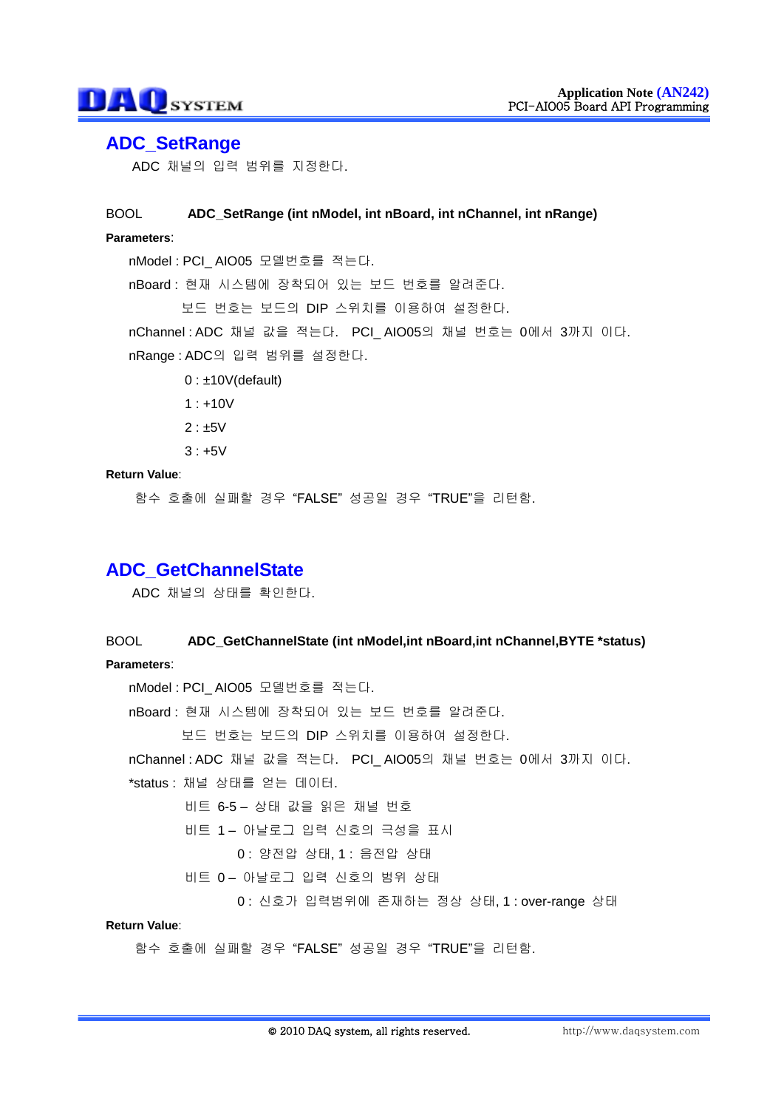## **ADC\_SetRange**

ADC 채널의 입력 범위를 지정한다.

## BOOL **ADC\_SetRange (int nModel, int nBoard, int nChannel, int nRange) Parameters**: nModel : PCI\_ AIO05 모델번호를 적는다. nBoard : 현재 시스템에 장착되어 있는 보드 번호를 알려준다. 보드 번호는 보드의 DIP 스위치를 이용하여 설정한다. nChannel : ADC 채널 값을 적는다. PCI\_ AIO05의 채널 번호는 0에서 3까지 이다. nRange : ADC의 입력 범위를 설정한다.  $0:±10V$ (default)  $1: +10V$

- $2 : +5V$
- $3: +5V$

### **Return Value**:

함수 호출에 실패할 경우 "FALSE" 성공일 경우 "TRUE"을 리턴함.

## **ADC\_GetChannelState**

ADC 채널의 상태를 확인한다.

## BOOL **ADC\_GetChannelState (int nModel,int nBoard,int nChannel,BYTE \*status) Parameters**:

nModel : PCI\_ AIO05 모델번호를 적는다. nBoard : 현재 시스템에 장착되어 있는 보드 번호를 알려준다. 보드 번호는 보드의 DIP 스위치를 이용하여 설정한다. nChannel : ADC 채널 값을 적는다. PCI\_ AIO05의 채널 번호는 0에서 3까지 이다. \*status : 채널 상태를 얻는 데이터. 비트 6-5 – 상태 값을 읽은 채널 번호 비트 1 – 아날로그 입력 신호의 극성을 표시 0 : 양전압 상태, 1 : 음전압 상태 비트 0 – 아날로그 입력 신호의 범위 상태 0 : 신호가 입력범위에 존재하는 정상 상태, 1 : over-range 상태

#### **Return Value**: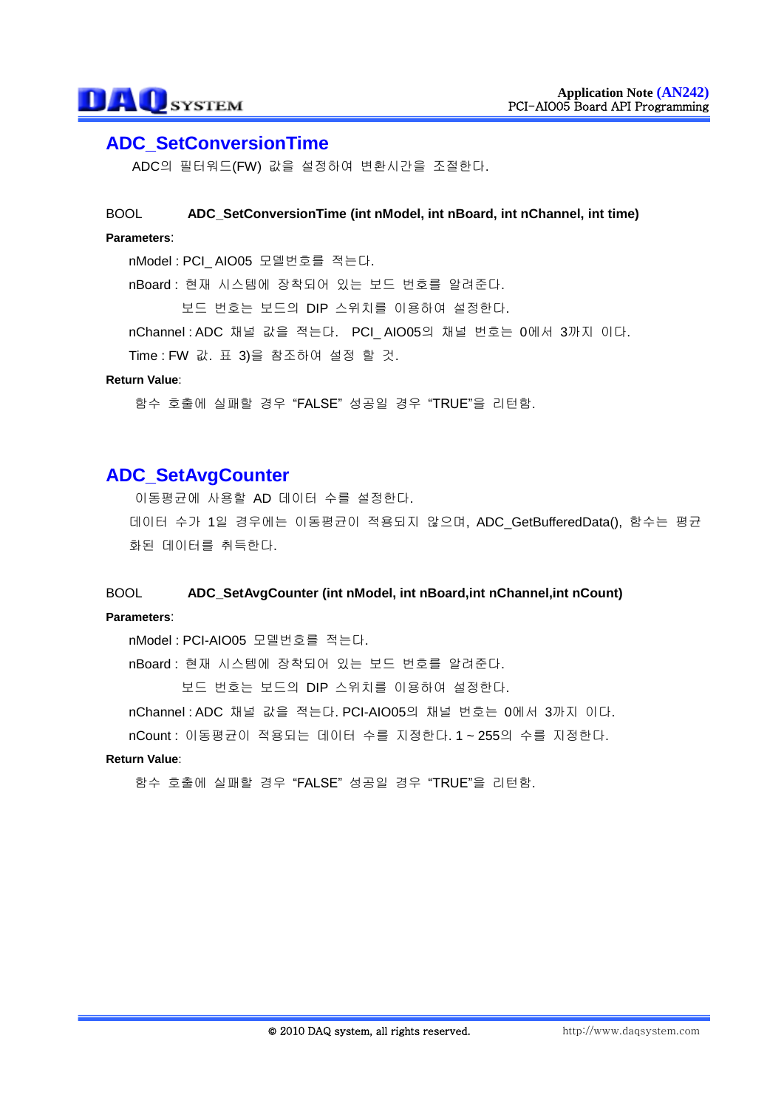## **ADC\_SetConversionTime**

ADC의 필터워드(FW) 값을 설정하여 변환시간을 조절한다.

## BOOL **ADC\_SetConversionTime (int nModel, int nBoard, int nChannel, int time)**

## **Parameters**:

nModel : PCI\_ AIO05 모델번호를 적는다.

nBoard : 현재 시스템에 장착되어 있는 보드 번호를 알려준다.

보드 번호는 보드의 DIP 스위치를 이용하여 설정한다.

nChannel : ADC 채널 값을 적는다. PCI\_ AIO05의 채널 번호는 0에서 3까지 이다.

Time : FW 값. 표 3)을 참조하여 설정 할 것.

#### **Return Value**:

함수 호출에 실패할 경우 "FALSE" 성공일 경우 "TRUE"을 리턴함.

## **ADC\_SetAvgCounter**

이동평균에 사용할 AD 데이터 수를 설정한다.

데이터 수가 1일 경우에는 이동평균이 적용되지 않으며, ADC\_GetBufferedData(), 함수는 평균 화된 데이터를 취득한다.

## BOOL **ADC\_SetAvgCounter (int nModel, int nBoard,int nChannel,int nCount) Parameters**:

nModel : PCI-AIO05 모델번호를 적는다.

nBoard : 현재 시스템에 장착되어 있는 보드 번호를 알려준다.

보드 번호는 보드의 DIP 스위치를 이용하여 설정한다.

nChannel : ADC 채널 값을 적는다. PCI-AIO05의 채널 번호는 0에서 3까지 이다.

nCount : 이동평균이 적용되는 데이터 수를 지정한다. 1 ~ 255의 수를 지정한다.

### **Return Value**: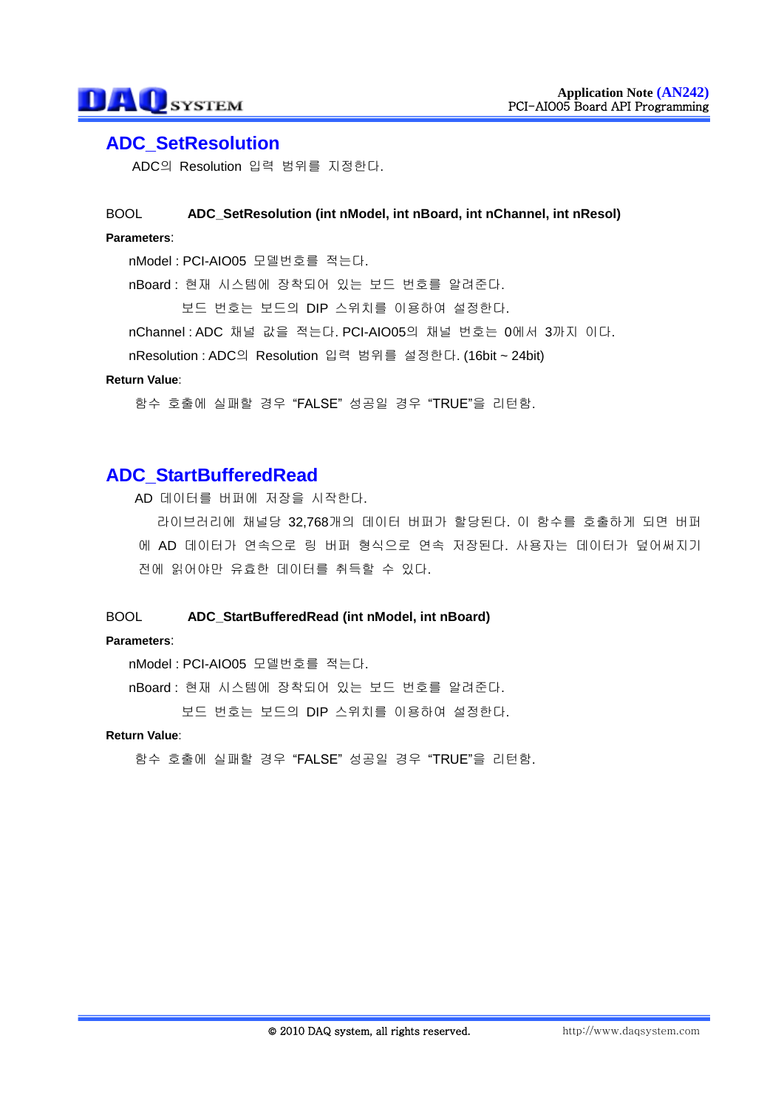## **ADC\_SetResolution**

ADC의 Resolution 입력 범위를 지정한다.

## BOOL **ADC\_SetResolution (int nModel, int nBoard, int nChannel, int nResol)**

### **Parameters**:

nModel : PCI-AIO05 모델번호를 적는다.

nBoard : 현재 시스템에 장착되어 있는 보드 번호를 알려준다.

보드 번호는 보드의 DIP 스위치를 이용하여 설정한다.

nChannel : ADC 채널 값을 적는다. PCI-AIO05의 채널 번호는 0에서 3까지 이다.

nResolution : ADC의 Resolution 입력 범위를 설정한다. (16bit ~ 24bit)

#### **Return Value**:

함수 호출에 실패할 경우 "FALSE" 성공일 경우 "TRUE"을 리턴함.

## **ADC\_StartBufferedRead**

AD 데이터를 버퍼에 저장을 시작한다.

라이브러리에 채널당 32,768개의 데이터 버퍼가 할당된다. 이 함수를 호출하게 되면 버퍼 에 AD 데이터가 연속으로 링 버퍼 형식으로 연속 저장된다. 사용자는 데이터가 덮어써지기 전에 읽어야만 유효한 데이터를 취득할 수 있다.

#### BOOL **ADC\_StartBufferedRead (int nModel, int nBoard)**

#### **Parameters**:

nModel : PCI-AIO05 모델번호를 적는다.

nBoard : 현재 시스템에 장착되어 있는 보드 번호를 알려준다.

보드 번호는 보드의 DIP 스위치를 이용하여 설정한다.

#### **Return Value**: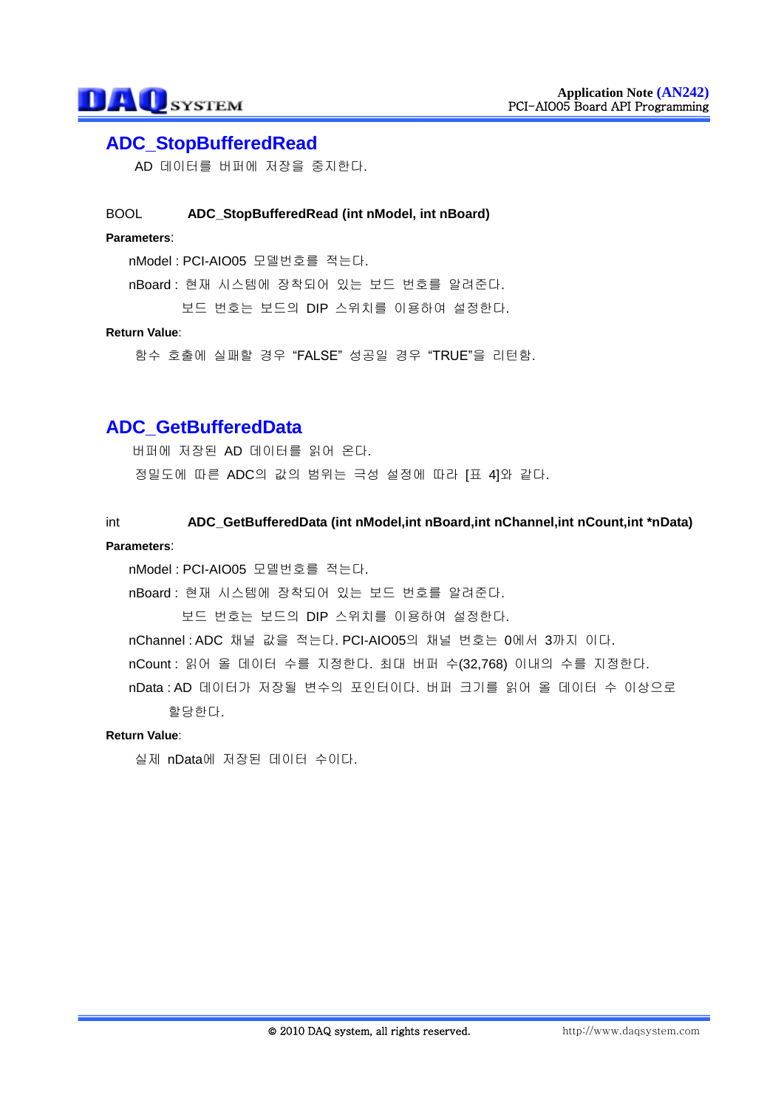## **ADC\_StopBufferedRead**

AD 데이터를 버퍼에 저장을 중지한다.

### BOOL **ADC\_StopBufferedRead (int nModel, int nBoard)**

## **Parameters**:

nModel : PCI-AIO05 모델번호를 적는다.

nBoard : 현재 시스템에 장착되어 있는 보드 번호를 알려준다.

보드 번호는 보드의 DIP 스위치를 이용하여 설정한다.

#### **Return Value**:

함수 호출에 실패할 경우 "FALSE" 성공일 경우 "TRUE"을 리턴함.

## **ADC\_GetBufferedData**

버퍼에 저장된 AD 데이터를 읽어 온다.

정밀도에 따른 ADC의 값의 범위는 극성 설정에 따라 [표 4]와 같다.

### int **ADC\_GetBufferedData (int nModel,int nBoard,int nChannel,int nCount,int \*nData)**

#### **Parameters**:

nModel : PCI-AIO05 모델번호를 적는다.

nBoard : 현재 시스템에 장착되어 있는 보드 번호를 알려준다.

보드 번호는 보드의 DIP 스위치를 이용하여 설정한다.

nChannel : ADC 채널 값을 적는다. PCI-AIO05의 채널 번호는 0에서 3까지 이다.

nCount : 읽어 올 데이터 수를 지정한다. 최대 버퍼 수(32,768) 이내의 수를 지정한다.

nData : AD 데이터가 저장될 변수의 포인터이다. 버퍼 크기를 읽어 올 데이터 수 이상으로 할당한다.

#### **Return Value**:

실제 nData에 저장된 데이터 수이다.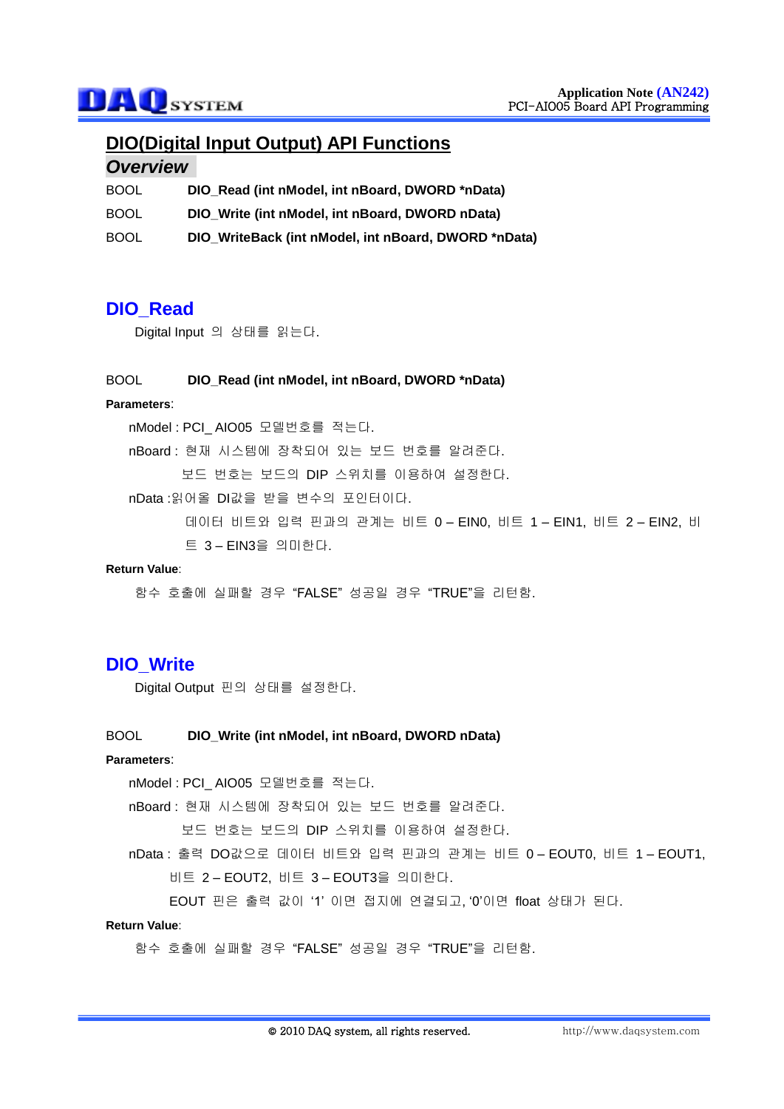## **DIO(Digital Input Output) API Functions**

## *Overview*

| <b>BOOL</b> | DIO_Read (int nModel, int nBoard, DWORD *nData)      |
|-------------|------------------------------------------------------|
| <b>BOOL</b> | DIO_Write (int nModel, int nBoard, DWORD nData)      |
| <b>BOOL</b> | DIO_WriteBack (int nModel, int nBoard, DWORD *nData) |

## **DIO\_Read**

Digital Input 의 상태를 읽는다.

#### BOOL **DIO\_Read (int nModel, int nBoard, DWORD \*nData)**

#### **Parameters**:

nModel : PCI\_ AIO05 모델번호를 적는다.

nBoard : 현재 시스템에 장착되어 있는 보드 번호를 알려준다.

보드 번호는 보드의 DIP 스위치를 이용하여 설정한다.

nData :읽어올 DI값을 받을 변수의 포인터이다.

데이터 비트와 입력 핀과의 관계는 비트 0 – EIN0, 비트 1 – EIN1, 비트 2 – EIN2, 비 트 3 – EIN3을 의미한다.

#### **Return Value**:

함수 호출에 실패할 경우 "FALSE" 성공일 경우 "TRUE"을 리턴함.

## **DIO\_Write**

Digital Output 핀의 상태를 설정한다.

### BOOL **DIO\_Write (int nModel, int nBoard, DWORD nData)**

### **Parameters**:

nModel : PCI\_ AIO05 모델번호를 적는다.

nBoard : 현재 시스템에 장착되어 있는 보드 번호를 알려준다.

보드 번호는 보드의 DIP 스위치를 이용하여 설정한다.

nData : 출력 DO값으로 데이터 비트와 입력 핀과의 관계는 비트 0 – EOUT0, 비트 1 – EOUT1, 비트 2 – EOUT2, 비트 3 – EOUT3을 의미한다.

EOUT 핀은 출력 값이 '1' 이면 접지에 연결되고, '0'이면 float 상태가 된다.

### **Return Value**: